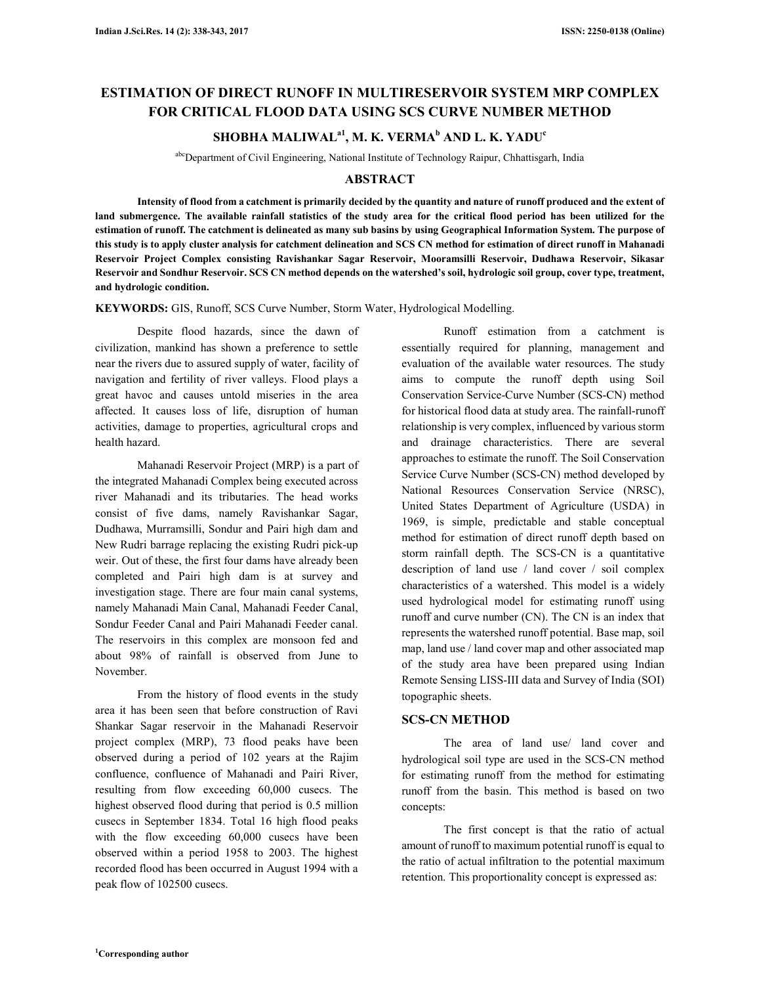# **ESTIMATION OF DIRECT RUNOFF IN MULTIRESERVOIR SYSTEM MRP COMPLEX FOR CRITICAL FLOOD DATA USING SCS CURVE NUMBER METHOD**

# **SHOBHA MALIWALa1, M. K. VERMA<sup>b</sup> AND L. K. YADU<sup>c</sup>**

abcDepartment of Civil Engineering, National Institute of Technology Raipur, Chhattisgarh, India

## **ABSTRACT**

**Intensity of flood from a catchment is primarily decided by the quantity and nature of runoff produced and the extent of**  land submergence. The available rainfall statistics of the study area for the critical flood period has been utilized for the **estimation of runoff. The catchment is delineated as many sub basins by using Geographical Information System. The purpose of this study is to apply cluster analysis for catchment delineation and SCS CN method for estimation of direct runoff in Mahanadi Reservoir Project Complex consisting Ravishankar Sagar Reservoir, Mooramsilli Reservoir, Dudhawa Reservoir, Sikasar Reservoir and Sondhur Reservoir. SCS CN method depends on the watershed's soil, hydrologic soil group, cover type, treatment, and hydrologic condition.** 

**KEYWORDS:** GIS, Runoff, SCS Curve Number, Storm Water, Hydrological Modelling.

Despite flood hazards, since the dawn of civilization, mankind has shown a preference to settle near the rivers due to assured supply of water, facility of navigation and fertility of river valleys. Flood plays a great havoc and causes untold miseries in the area affected. It causes loss of life, disruption of human activities, damage to properties, agricultural crops and health hazard.

Mahanadi Reservoir Project (MRP) is a part of the integrated Mahanadi Complex being executed across river Mahanadi and its tributaries. The head works consist of five dams, namely Ravishankar Sagar, Dudhawa, Murramsilli, Sondur and Pairi high dam and New Rudri barrage replacing the existing Rudri pick-up weir. Out of these, the first four dams have already been completed and Pairi high dam is at survey and investigation stage. There are four main canal systems, namely Mahanadi Main Canal, Mahanadi Feeder Canal, Sondur Feeder Canal and Pairi Mahanadi Feeder canal. The reservoirs in this complex are monsoon fed and about 98% of rainfall is observed from June to November.

From the history of flood events in the study area it has been seen that before construction of Ravi Shankar Sagar reservoir in the Mahanadi Reservoir project complex (MRP), 73 flood peaks have been observed during a period of 102 years at the Rajim confluence, confluence of Mahanadi and Pairi River, resulting from flow exceeding 60,000 cusecs. The highest observed flood during that period is 0.5 million cusecs in September 1834. Total 16 high flood peaks with the flow exceeding 60,000 cusecs have been observed within a period 1958 to 2003. The highest recorded flood has been occurred in August 1994 with a peak flow of 102500 cusecs.

Runoff estimation from a catchment is essentially required for planning, management and evaluation of the available water resources. The study aims to compute the runoff depth using Soil Conservation Service-Curve Number (SCS-CN) method for historical flood data at study area. The rainfall-runoff relationship is very complex, influenced by various storm and drainage characteristics. There are several approaches to estimate the runoff. The Soil Conservation Service Curve Number (SCS-CN) method developed by National Resources Conservation Service (NRSC), United States Department of Agriculture (USDA) in 1969, is simple, predictable and stable conceptual method for estimation of direct runoff depth based on storm rainfall depth. The SCS-CN is a quantitative description of land use / land cover / soil complex characteristics of a watershed. This model is a widely used hydrological model for estimating runoff using runoff and curve number (CN). The CN is an index that represents the watershed runoff potential. Base map, soil map, land use / land cover map and other associated map of the study area have been prepared using Indian Remote Sensing LISS-III data and Survey of India (SOI) topographic sheets.

## **SCS-CN METHOD**

The area of land use/ land cover and hydrological soil type are used in the SCS-CN method for estimating runoff from the method for estimating runoff from the basin. This method is based on two concepts:

The first concept is that the ratio of actual amount of runoff to maximum potential runoff is equal to the ratio of actual infiltration to the potential maximum retention. This proportionality concept is expressed as: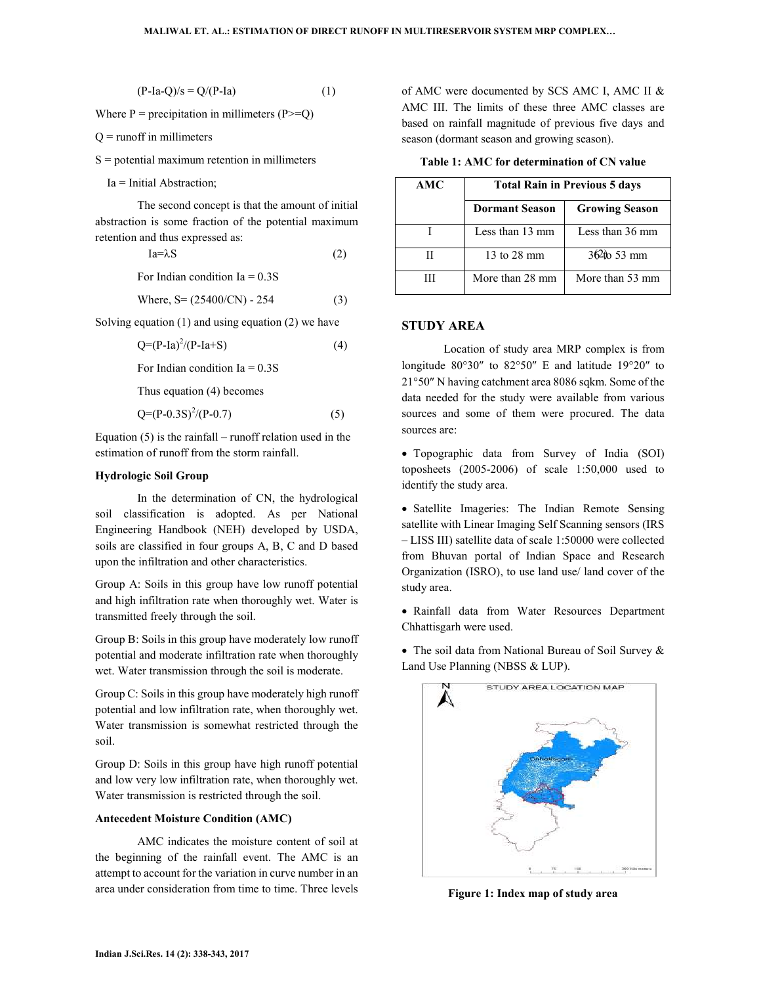$(P-Ia-Q)/s = Q/(P-Ia)$  (1)

Where  $P =$  precipitation in millimeters (P $>=$ Q)

 $Q =$  runoff in millimeters

 $S =$  potential maximum retention in millimeters

$$
Ia = \lambda S \tag{2}
$$

Where, 
$$
S = (25400/CN) - 254
$$
 (3)

Solving equation (1) and using equation (2) we have

$$
Q=(P-Ia)^2/(P-Ia+S)
$$
 (4)

For Indian condition  $Ia = 0.3S$ 

Thus equation (4) becomes

$$
Q=(P-0.3S)^2/(P-0.7)
$$
 (5)

Equation  $(5)$  is the rainfall – runoff relation used in the estimation of runoff from the storm rainfall.

#### **Hydrologic Soil Group**

In the determination of CN, the hydrological soil classification is adopted. As per National Engineering Handbook (NEH) developed by USDA, soils are classified in four groups A, B, C and D based upon the infiltration and other characteristics.

Group A: Soils in this group have low runoff potential and high infiltration rate when thoroughly wet. Water is transmitted freely through the soil.

Group B: Soils in this group have moderately low runoff potential and moderate infiltration rate when thoroughly wet. Water transmission through the soil is moderate.

Group C: Soils in this group have moderately high runoff potential and low infiltration rate, when thoroughly wet. Water transmission is somewhat restricted through the soil.

Group D: Soils in this group have high runoff potential and low very low infiltration rate, when thoroughly wet. Water transmission is restricted through the soil.

#### **Antecedent Moisture Condition (AMC)**

AMC indicates the moisture content of soil at the beginning of the rainfall event. The AMC is an attempt to account for the variation in curve number in an area under consideration from time to time. Three levels

of AMC were documented by SCS AMC I, AMC II & AMC III. The limits of these three AMC classes are based on rainfall magnitude of previous five days and season (dormant season and growing season).

**Table 1: AMC for determination of CN value** 

| $Ia = Initial Abstraction;$                                                                               |  | AMC                   | <b>Total Rain in Previous 5 days</b> |                 |
|-----------------------------------------------------------------------------------------------------------|--|-----------------------|--------------------------------------|-----------------|
| The second concept is that the amount of initial<br>abstraction is some fraction of the potential maximum |  | <b>Dormant Season</b> | <b>Growing Season</b>                |                 |
| retention and thus expressed as:                                                                          |  | Less than 13 mm       | Less than 36 mm                      |                 |
| $Ia = \lambda S$<br>(2)                                                                                   |  | Н                     | 13 to 28 mm                          | $362$ to 53 mm  |
| For Indian condition Ia $= 0.3S$                                                                          |  | Ш                     | More than 28 mm                      | More than 53 mm |

#### **STUDY AREA**

Location of study area MRP complex is from longitude 80°30″ to 82°50″ E and latitude 19°20″ to 21°50″ N having catchment area 8086 sqkm. Some of the data needed for the study were available from various sources and some of them were procured. The data sources are:

• Topographic data from Survey of India (SOI) toposheets (2005-2006) of scale 1:50,000 used to identify the study area.

• Satellite Imageries: The Indian Remote Sensing satellite with Linear Imaging Self Scanning sensors (IRS – LISS III) satellite data of scale 1:50000 were collected from Bhuvan portal of Indian Space and Research Organization (ISRO), to use land use/ land cover of the study area.

• Rainfall data from Water Resources Department Chhattisgarh were used.

• The soil data from National Bureau of Soil Survey & Land Use Planning (NBSS & LUP).



**Figure 1: Index map of study area**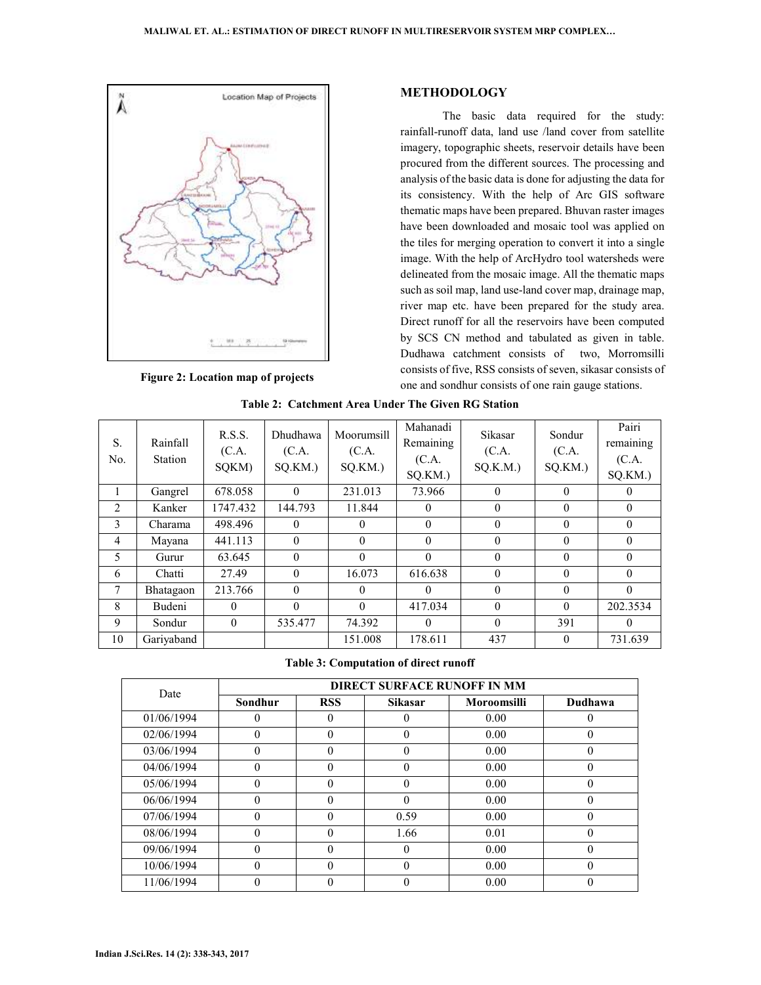

**Figure 2: Location map of projects** 

### **METHODOLOGY**

The basic data required for the study: rainfall-runoff data, land use /land cover from satellite imagery, topographic sheets, reservoir details have been procured from the different sources. The processing and analysis of the basic data is done for adjusting the data for its consistency. With the help of Arc GIS software thematic maps have been prepared. Bhuvan raster images have been downloaded and mosaic tool was applied on the tiles for merging operation to convert it into a single image. With the help of ArcHydro tool watersheds were delineated from the mosaic image. All the thematic maps such as soil map, land use-land cover map, drainage map, river map etc. have been prepared for the study area. Direct runoff for all the reservoirs have been computed by SCS CN method and tabulated as given in table. Dudhawa catchment consists of two, Morromsilli consists of five, RSS consists of seven, sikasar consists of one and sondhur consists of one rain gauge stations.

| S.<br>N <sub>0</sub> | Rainfall<br><b>Station</b> | R.S.S.<br>(C.A.<br>SQKM) | <b>Dhudhawa</b><br>(C.A.<br>SQ.KM.) | Moorumsill<br>(C.A.<br>SQ.KM.) | Mahanadi<br>Remaining<br>(C.A.<br>SQ.KM.) | <b>Sikasar</b><br>(C.A.<br>$SQ.K.M.$ ) | Sondur<br>(C.A.<br>SQ.KM. | Pairi<br>remaining<br>(C.A.<br>SQ.KM.) |
|----------------------|----------------------------|--------------------------|-------------------------------------|--------------------------------|-------------------------------------------|----------------------------------------|---------------------------|----------------------------------------|
|                      | Gangrel                    | 678.058                  | $\theta$                            | 231.013                        | 73.966                                    | $\theta$                               | $\theta$                  | 0                                      |
| 2                    | Kanker                     | 1747.432                 | 144.793                             | 11.844                         | $\theta$                                  | $\theta$                               | $\theta$                  | $\theta$                               |
| 3                    | Charama                    | 498.496                  | $\theta$                            | 0                              | $\Omega$                                  | $\Omega$                               | $\Omega$                  | $\Omega$                               |
| $\overline{4}$       | Mayana                     | 441.113                  | $\theta$                            | 0                              | $\theta$                                  | $\theta$                               | $\theta$                  | $\Omega$                               |
| 5                    | Gurur                      | 63.645                   | $\theta$                            | $\theta$                       | $\theta$                                  | $\theta$                               | $\theta$                  | $\theta$                               |
| 6                    | Chatti                     | 27.49                    | $\theta$                            | 16.073                         | 616.638                                   | $\Omega$                               | $\Omega$                  | $\Omega$                               |
| 7                    | Bhatagaon                  | 213.766                  | $\theta$                            | 0                              | $\Omega$                                  | $\Omega$                               | $\Omega$                  | $\Omega$                               |
| 8                    | Budeni                     | $\theta$                 | $\theta$                            | 0                              | 417.034                                   | $\theta$                               | $\theta$                  | 202.3534                               |
| 9                    | Sondur                     | $\theta$                 | 535.477                             | 74.392                         | $\Omega$                                  | $\Omega$                               | 391                       | 0                                      |
| 10                   | Gariyaband                 |                          |                                     | 151.008                        | 178.611                                   | 437                                    | $\theta$                  | 731.639                                |

**Table 2: Catchment Area Under The Given RG Station**

**Table 3: Computation of direct runoff** 

| Date       | <b>DIRECT SURFACE RUNOFF IN MM</b> |            |                |                    |          |  |
|------------|------------------------------------|------------|----------------|--------------------|----------|--|
|            | Sondhur                            | <b>RSS</b> | <b>Sikasar</b> | <b>Moroomsilli</b> | Dudhawa  |  |
| 01/06/1994 |                                    | 0          |                | 0.00               | 0        |  |
| 02/06/1994 | 0                                  | $\theta$   | $\theta$       | 0.00               | 0        |  |
| 03/06/1994 | 0                                  | $\theta$   | 0              | 0.00               | 0        |  |
| 04/06/1994 | 0                                  | $\theta$   | 0              | 0.00               | 0        |  |
| 05/06/1994 | 0                                  | $\theta$   | 0              | 0.00               | 0        |  |
| 06/06/1994 | 0                                  | $\theta$   | 0              | 0.00               | 0        |  |
| 07/06/1994 | 0                                  | $\theta$   | 0.59           | 0.00               | 0        |  |
| 08/06/1994 | 0                                  | $\theta$   | 1.66           | 0.01               | $\theta$ |  |
| 09/06/1994 | 0                                  | $\theta$   | $\mathbf{0}$   | 0.00               | 0        |  |
| 10/06/1994 | 0                                  | $\Omega$   | 0              | 0.00               | 0        |  |
| 11/06/1994 |                                    | 0          |                | 0.00               |          |  |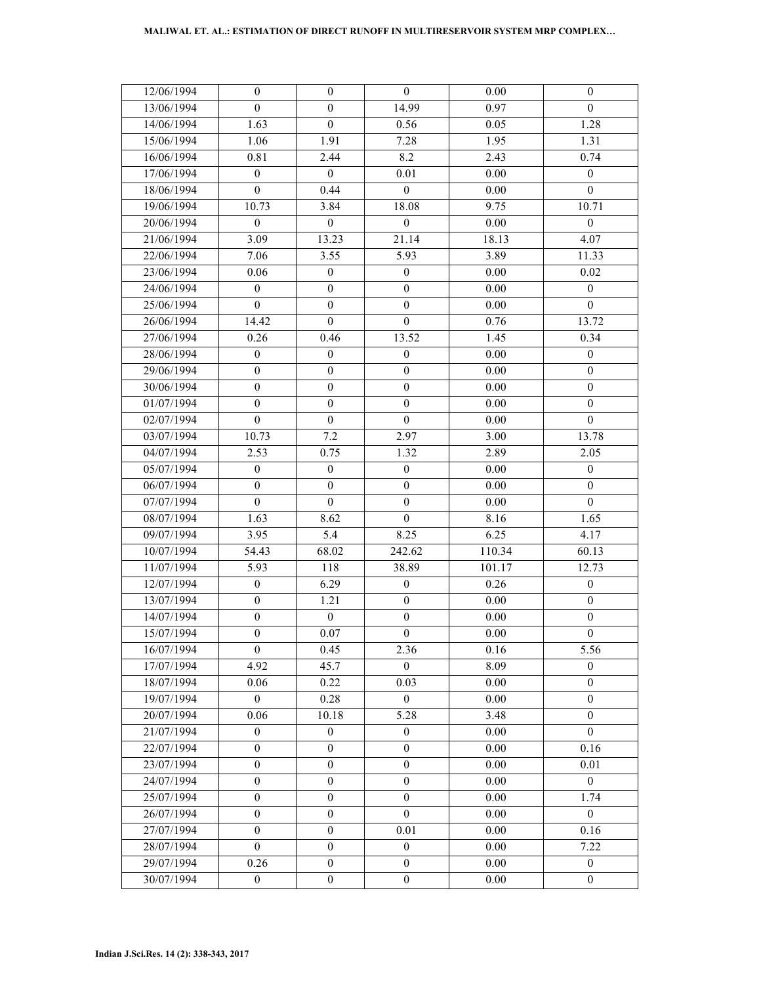| 12/06/1994 | $\boldsymbol{0}$ | $\boldsymbol{0}$ | $\mathbf{0}$     | 0.00     | $\mathbf{0}$     |
|------------|------------------|------------------|------------------|----------|------------------|
| 13/06/1994 | $\boldsymbol{0}$ | $\boldsymbol{0}$ | 14.99            | 0.97     | $\boldsymbol{0}$ |
| 14/06/1994 | 1.63             | $\boldsymbol{0}$ | 0.56             | 0.05     | 1.28             |
| 15/06/1994 | 1.06             | 1.91             | 7.28             | 1.95     | 1.31             |
| 16/06/1994 | 0.81             | 2.44             | 8.2              | 2.43     | 0.74             |
| 17/06/1994 | $\boldsymbol{0}$ | $\boldsymbol{0}$ | 0.01             | 0.00     | $\boldsymbol{0}$ |
| 18/06/1994 | $\boldsymbol{0}$ | 0.44             | $\boldsymbol{0}$ | 0.00     | $\boldsymbol{0}$ |
| 19/06/1994 | 10.73            | 3.84             | 18.08            | 9.75     | 10.71            |
| 20/06/1994 | $\boldsymbol{0}$ | $\boldsymbol{0}$ | $\mathbf{0}$     | 0.00     | $\boldsymbol{0}$ |
| 21/06/1994 | 3.09             | 13.23            | 21.14            | 18.13    | 4.07             |
| 22/06/1994 | 7.06             | 3.55             | 5.93             | 3.89     | 11.33            |
| 23/06/1994 | 0.06             | $\boldsymbol{0}$ | $\boldsymbol{0}$ | 0.00     | 0.02             |
| 24/06/1994 | $\boldsymbol{0}$ | $\boldsymbol{0}$ | $\boldsymbol{0}$ | 0.00     | $\boldsymbol{0}$ |
| 25/06/1994 | $\overline{0}$   | $\boldsymbol{0}$ | $\boldsymbol{0}$ | $0.00\,$ | $\theta$         |
| 26/06/1994 | 14.42            | $\boldsymbol{0}$ | $\boldsymbol{0}$ | 0.76     | 13.72            |
| 27/06/1994 | 0.26             | 0.46             | 13.52            | 1.45     | 0.34             |
| 28/06/1994 | $\boldsymbol{0}$ | $\boldsymbol{0}$ | $\boldsymbol{0}$ | 0.00     | $\boldsymbol{0}$ |
| 29/06/1994 | $\boldsymbol{0}$ | $\boldsymbol{0}$ | $\boldsymbol{0}$ | $0.00\,$ | $\boldsymbol{0}$ |
| 30/06/1994 | $\boldsymbol{0}$ | $\boldsymbol{0}$ | $\boldsymbol{0}$ | 0.00     | $\mathbf{0}$     |
| 01/07/1994 | $\boldsymbol{0}$ | $\boldsymbol{0}$ | $\boldsymbol{0}$ | $0.00\,$ | $\boldsymbol{0}$ |
| 02/07/1994 | $\boldsymbol{0}$ | $\boldsymbol{0}$ | $\boldsymbol{0}$ | 0.00     | $\boldsymbol{0}$ |
| 03/07/1994 | 10.73            | 7.2              | 2.97             | 3.00     | 13.78            |
| 04/07/1994 | 2.53             | 0.75             | 1.32             | 2.89     | 2.05             |
| 05/07/1994 | 0                | $\mathbf{0}$     | $\mathbf{0}$     | 0.00     | $\theta$         |
| 06/07/1994 | $\boldsymbol{0}$ | $\boldsymbol{0}$ | $\boldsymbol{0}$ | $0.00\,$ | $\boldsymbol{0}$ |
| 07/07/1994 | $\boldsymbol{0}$ | $\boldsymbol{0}$ | $\boldsymbol{0}$ | 0.00     | $\mathbf{0}$     |
| 08/07/1994 | 1.63             | 8.62             | $\boldsymbol{0}$ | 8.16     | 1.65             |
| 09/07/1994 | 3.95             | 5.4              | 8.25             | 6.25     | 4.17             |
| 10/07/1994 | 54.43            | 68.02            | 242.62           | 110.34   | 60.13            |
| 11/07/1994 | 5.93             | 118              | 38.89            | 101.17   | 12.73            |
| 12/07/1994 | $\boldsymbol{0}$ | 6.29             | $\boldsymbol{0}$ | 0.26     | $\boldsymbol{0}$ |
| 13/07/1994 | $\boldsymbol{0}$ | 1.21             | $\boldsymbol{0}$ | 0.00     | $\mathbf{0}$     |
| 14/07/1994 | $\boldsymbol{0}$ | $\boldsymbol{0}$ | $\boldsymbol{0}$ | $0.00\,$ | $\boldsymbol{0}$ |
| 15/07/1994 | $\boldsymbol{0}$ | 0.07             | $\boldsymbol{0}$ | $0.00\,$ | $\boldsymbol{0}$ |
| 16/07/1994 | $\boldsymbol{0}$ | 0.45             | 2.36             | 0.16     | 5.56             |
| 17/07/1994 | 4.92             | 45.7             | $\overline{0}$   | 8.09     | $\mathbf{0}$     |
| 18/07/1994 | 0.06             | 0.22             | 0.03             | 0.00     | $\mathbf{0}$     |
| 19/07/1994 | $\boldsymbol{0}$ | 0.28             | $\mathbf{0}$     | 0.00     | $\mathbf{0}$     |
| 20/07/1994 | 0.06             | 10.18            | 5.28             | 3.48     | $\theta$         |
| 21/07/1994 | $\boldsymbol{0}$ | $\boldsymbol{0}$ | $\mathbf{0}$     | 0.00     | $\mathbf{0}$     |
| 22/07/1994 | $\boldsymbol{0}$ | $\boldsymbol{0}$ | $\mathbf{0}$     | 0.00     | 0.16             |
| 23/07/1994 | $\boldsymbol{0}$ | $\boldsymbol{0}$ | $\mathbf{0}$     | 0.00     | 0.01             |
| 24/07/1994 | $\boldsymbol{0}$ | $\mathbf{0}$     | $\boldsymbol{0}$ | 0.00     | $\theta$         |
| 25/07/1994 | $\mathbf{0}$     | $\mathbf{0}$     | $\boldsymbol{0}$ | 0.00     | 1.74             |
| 26/07/1994 | $\boldsymbol{0}$ | $\boldsymbol{0}$ | $\boldsymbol{0}$ | 0.00     | $\mathbf{0}$     |
| 27/07/1994 | $\boldsymbol{0}$ | $\boldsymbol{0}$ | 0.01             | 0.00     | 0.16             |
| 28/07/1994 | $\mathbf{0}$     | $\boldsymbol{0}$ | $\mathbf{0}$     | 0.00     | 7.22             |
| 29/07/1994 | 0.26             | $\mathbf{0}$     | $\boldsymbol{0}$ | 0.00     | $\mathbf{0}$     |
| 30/07/1994 | $\boldsymbol{0}$ | $\boldsymbol{0}$ | $\boldsymbol{0}$ | 0.00     | $\boldsymbol{0}$ |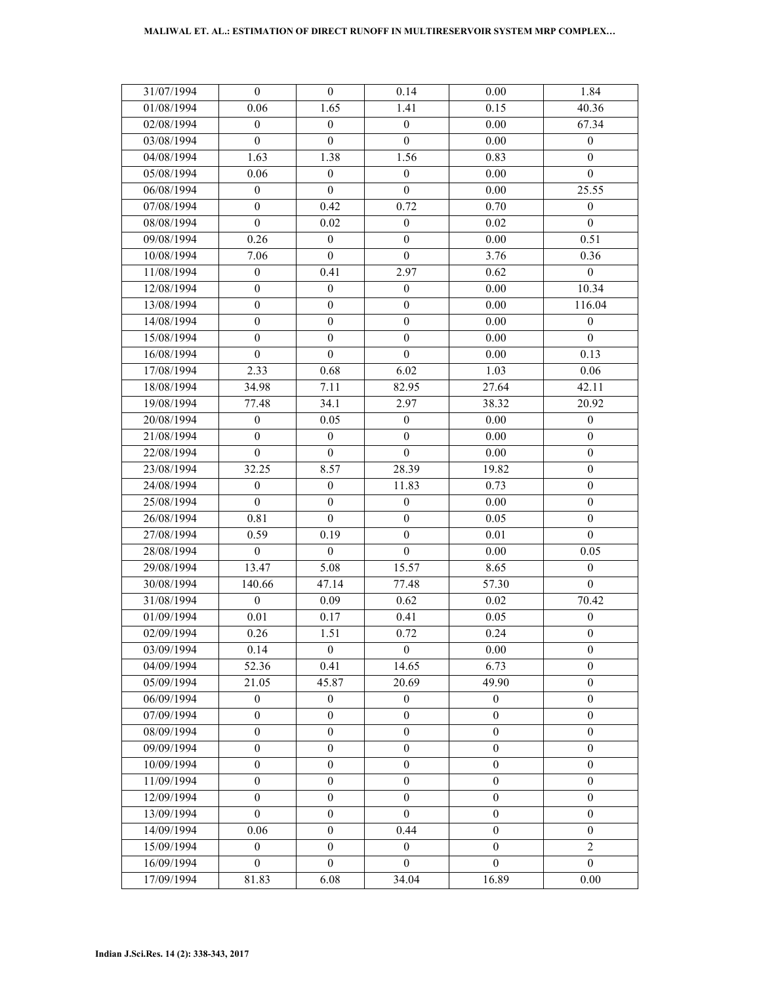| 31/07/1994 | $\boldsymbol{0}$ | $\boldsymbol{0}$ | 0.14             | $0.00\,$         | 1.84             |
|------------|------------------|------------------|------------------|------------------|------------------|
| 01/08/1994 | 0.06             | 1.65             | 1.41             | 0.15             | 40.36            |
| 02/08/1994 | $\boldsymbol{0}$ | $\boldsymbol{0}$ | $\boldsymbol{0}$ | $0.00\,$         | 67.34            |
| 03/08/1994 | $\boldsymbol{0}$ | $\boldsymbol{0}$ | $\boldsymbol{0}$ | $0.00\,$         | $\boldsymbol{0}$ |
| 04/08/1994 | 1.63             | 1.38             | 1.56             | 0.83             | $\mathbf{0}$     |
| 05/08/1994 | 0.06             | $\boldsymbol{0}$ | $\boldsymbol{0}$ | $0.00\,$         | $\boldsymbol{0}$ |
| 06/08/1994 | $\boldsymbol{0}$ | $\boldsymbol{0}$ | $\boldsymbol{0}$ | 0.00             | 25.55            |
| 07/08/1994 | $\boldsymbol{0}$ | 0.42             | 0.72             | 0.70             | $\boldsymbol{0}$ |
| 08/08/1994 | $\mathbf{0}$     | 0.02             | $\boldsymbol{0}$ | 0.02             | $\theta$         |
| 09/08/1994 | 0.26             | $\boldsymbol{0}$ | $\boldsymbol{0}$ | 0.00             | 0.51             |
| 10/08/1994 | 7.06             | $\boldsymbol{0}$ | $\boldsymbol{0}$ | 3.76             | 0.36             |
| 11/08/1994 | $\boldsymbol{0}$ | 0.41             | 2.97             | 0.62             | $\boldsymbol{0}$ |
| 12/08/1994 | $\boldsymbol{0}$ | $\boldsymbol{0}$ | $\boldsymbol{0}$ | $0.00\,$         | 10.34            |
| 13/08/1994 | $\boldsymbol{0}$ | $\boldsymbol{0}$ | $\boldsymbol{0}$ | $0.00\,$         | 116.04           |
| 14/08/1994 | $\boldsymbol{0}$ | $\boldsymbol{0}$ | $\boldsymbol{0}$ | 0.00             | $\mathbf{0}$     |
| 15/08/1994 | $\boldsymbol{0}$ | $\boldsymbol{0}$ | $\boldsymbol{0}$ | $0.00\,$         | $\theta$         |
| 16/08/1994 | $\mathbf{0}$     | $\boldsymbol{0}$ | $\mathbf{0}$     | 0.00             | 0.13             |
| 17/08/1994 | 2.33             | 0.68             | 6.02             | 1.03             | 0.06             |
| 18/08/1994 | 34.98            | 7.11             | 82.95            | 27.64            | 42.11            |
| 19/08/1994 | 77.48            | 34.1             | 2.97             | 38.32            | 20.92            |
| 20/08/1994 | $\boldsymbol{0}$ | 0.05             | $\boldsymbol{0}$ | 0.00             | $\boldsymbol{0}$ |
| 21/08/1994 | $\mathbf{0}$     | $\mathbf{0}$     | $\mathbf{0}$     | 0.00             | $\mathbf{0}$     |
| 22/08/1994 | $\boldsymbol{0}$ | $\boldsymbol{0}$ | $\mathbf{0}$     | 0.00             | $\boldsymbol{0}$ |
| 23/08/1994 | 32.25            | 8.57             | 28.39            | 19.82            | $\boldsymbol{0}$ |
| 24/08/1994 | $\boldsymbol{0}$ | $\boldsymbol{0}$ | 11.83            | 0.73             | $\boldsymbol{0}$ |
| 25/08/1994 | $\mathbf{0}$     | $\boldsymbol{0}$ | $\boldsymbol{0}$ | $0.00\,$         | $\boldsymbol{0}$ |
| 26/08/1994 | 0.81             | $\boldsymbol{0}$ | $\boldsymbol{0}$ | 0.05             | $\boldsymbol{0}$ |
| 27/08/1994 | 0.59             | 0.19             | $\boldsymbol{0}$ | 0.01             | $\boldsymbol{0}$ |
| 28/08/1994 | $\boldsymbol{0}$ | $\boldsymbol{0}$ | $\boldsymbol{0}$ | $0.00\,$         | 0.05             |
| 29/08/1994 | 13.47            | 5.08             | 15.57            | 8.65             | $\boldsymbol{0}$ |
| 30/08/1994 | 140.66           | 47.14            | 77.48            | 57.30            | $\boldsymbol{0}$ |
| 31/08/1994 | $\mathbf{0}$     | 0.09             | 0.62             | 0.02             | 70.42            |
| 01/09/1994 | 0.01             | 0.17             | 0.41             | 0.05             | $\boldsymbol{0}$ |
| 02/09/1994 | 0.26             | 1.51             | 0.72             | 0.24             | $\boldsymbol{0}$ |
| 03/09/1994 | 0.14             | $\boldsymbol{0}$ | $\mathbf{0}$     | 0.00             | $\boldsymbol{0}$ |
| 04/09/1994 | 52.36            | 0.41             | 14.65            | 6.73             | $\mathbf{0}$     |
| 05/09/1994 | 21.05            | 45.87            | 20.69            | 49.90            | $\mathbf{0}$     |
| 06/09/1994 | $\boldsymbol{0}$ | $\boldsymbol{0}$ | $\boldsymbol{0}$ | $\mathbf{0}$     | $\mathbf{0}$     |
| 07/09/1994 | $\boldsymbol{0}$ | $\mathbf{0}$     | $\boldsymbol{0}$ | $\mathbf{0}$     | $\mathbf{0}$     |
| 08/09/1994 | $\boldsymbol{0}$ | $\boldsymbol{0}$ | $\boldsymbol{0}$ | $\mathbf{0}$     | $\mathbf{0}$     |
| 09/09/1994 | $\boldsymbol{0}$ | $\boldsymbol{0}$ | $\boldsymbol{0}$ | $\boldsymbol{0}$ | $\mathbf{0}$     |
| 10/09/1994 | $\boldsymbol{0}$ | $\boldsymbol{0}$ | $\boldsymbol{0}$ | $\boldsymbol{0}$ | $\mathbf{0}$     |
| 11/09/1994 | $\boldsymbol{0}$ | $\boldsymbol{0}$ | $\boldsymbol{0}$ | $\mathbf{0}$     | $\mathbf{0}$     |
| 12/09/1994 | $\boldsymbol{0}$ | $\mathbf{0}$     | $\boldsymbol{0}$ | $\boldsymbol{0}$ | $\mathbf{0}$     |
| 13/09/1994 | $\boldsymbol{0}$ | $\boldsymbol{0}$ | $\boldsymbol{0}$ | $\mathbf{0}$     | $\mathbf{0}$     |
| 14/09/1994 | 0.06             | $\boldsymbol{0}$ | 0.44             | $\mathbf{0}$     | $\mathbf{0}$     |
| 15/09/1994 | 0                | $\mathbf{0}$     | $\mathbf{0}$     | $\mathbf{0}$     | $\overline{2}$   |
| 16/09/1994 | $\mathbf{0}$     | $\boldsymbol{0}$ | $\mathbf{0}$     | $\mathbf{0}$     | $\mathbf{0}$     |
| 17/09/1994 | 81.83            | 6.08             | 34.04            | 16.89            | $0.00\,$         |